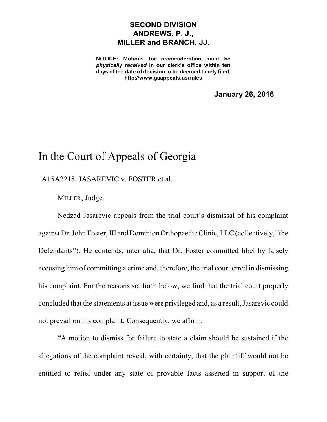## **SECOND DIVISION ANDREWS, P. J., MILLER and BRANCH, JJ.**

**NOTICE: Motions for reconsideration must be** *physically received* **in our clerk's office within ten days of the date of decision to be deemed timely filed. http://www.gaappeals.us/rules**

**January 26, 2016**

## In the Court of Appeals of Georgia

A15A2218. JASAREVIC v. FOSTER et al.

MILLER, Judge.

Nedzad Jasarevic appeals from the trial court's dismissal of his complaint against Dr. John Foster, III and Dominion Orthopaedic Clinic, LLC (collectively, "the Defendants"). He contends, inter alia, that Dr. Foster committed libel by falsely accusing him of committing a crime and, therefore, the trial court erred in dismissing his complaint. For the reasons set forth below, we find that the trial court properly concluded that the statements at issue were privileged and, as a result,Jasarevic could not prevail on his complaint. Consequently, we affirm.

"A motion to dismiss for failure to state a claim should be sustained if the allegations of the complaint reveal, with certainty, that the plaintiff would not be entitled to relief under any state of provable facts asserted in support of the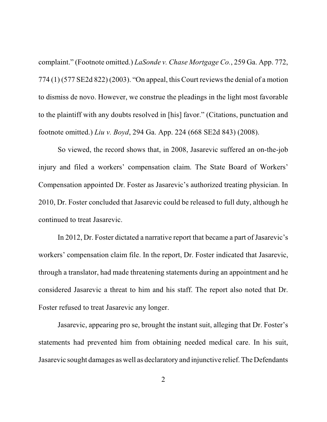complaint." (Footnote omitted.) *LaSonde v. Chase Mortgage Co.*, 259 Ga. App. 772, 774 (1) (577 SE2d 822) (2003). "On appeal, this Court reviewsthe denial of a motion to dismiss de novo. However, we construe the pleadings in the light most favorable to the plaintiff with any doubts resolved in [his] favor." (Citations, punctuation and footnote omitted.) *Liu v. Boyd*, 294 Ga. App. 224 (668 SE2d 843) (2008).

So viewed, the record shows that, in 2008, Jasarevic suffered an on-the-job injury and filed a workers' compensation claim. The State Board of Workers' Compensation appointed Dr. Foster as Jasarevic's authorized treating physician. In 2010, Dr. Foster concluded that Jasarevic could be released to full duty, although he continued to treat Jasarevic.

In 2012, Dr. Foster dictated a narrative report that became a part of Jasarevic's workers' compensation claim file. In the report, Dr. Foster indicated that Jasarevic, through a translator, had made threatening statements during an appointment and he considered Jasarevic a threat to him and his staff. The report also noted that Dr. Foster refused to treat Jasarevic any longer.

Jasarevic, appearing pro se, brought the instant suit, alleging that Dr. Foster's statements had prevented him from obtaining needed medical care. In his suit, Jasarevic sought damages as well as declaratory and injunctive relief. The Defendants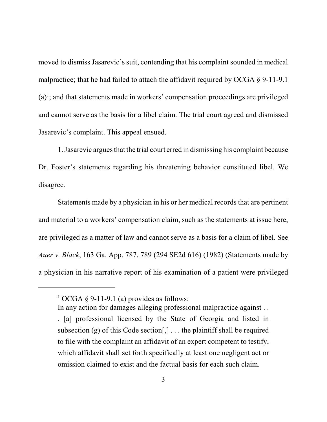moved to dismiss Jasarevic's suit, contending that his complaint sounded in medical malpractice; that he had failed to attach the affidavit required by OCGA  $\S$  9-11-9.1  $(a)$ <sup>1</sup>; and that statements made in workers' compensation proceedings are privileged and cannot serve as the basis for a libel claim. The trial court agreed and dismissed Jasarevic's complaint. This appeal ensued.

1. Jasarevic arguesthat the trial court erred in dismissing his complaint because Dr. Foster's statements regarding his threatening behavior constituted libel. We disagree.

Statements made by a physician in his or her medical records that are pertinent and material to a workers' compensation claim, such as the statements at issue here, are privileged as a matter of law and cannot serve as a basis for a claim of libel. See *Auer v. Black*, 163 Ga. App. 787, 789 (294 SE2d 616) (1982) (Statements made by a physician in his narrative report of his examination of a patient were privileged

In any action for damages alleging professional malpractice against . .

 $1$  OCGA § 9-11-9.1 (a) provides as follows:

<sup>. [</sup>a] professional licensed by the State of Georgia and listed in subsection (g) of this Code section[,]  $\ldots$  the plaintiff shall be required to file with the complaint an affidavit of an expert competent to testify, which affidavit shall set forth specifically at least one negligent act or omission claimed to exist and the factual basis for each such claim.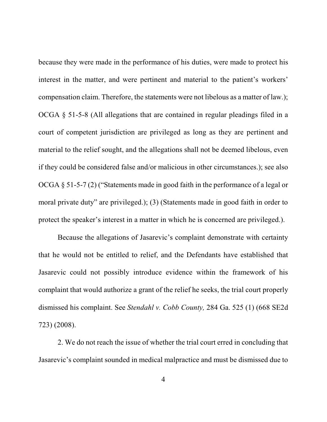because they were made in the performance of his duties, were made to protect his interest in the matter, and were pertinent and material to the patient's workers' compensation claim. Therefore, the statements were not libelous as a matter of law.); OCGA § 51-5-8 (All allegations that are contained in regular pleadings filed in a court of competent jurisdiction are privileged as long as they are pertinent and material to the relief sought, and the allegations shall not be deemed libelous, even if they could be considered false and/or malicious in other circumstances.); see also OCGA § 51-5-7 (2) ("Statements made in good faith in the performance of a legal or moral private duty" are privileged.); (3) (Statements made in good faith in order to protect the speaker's interest in a matter in which he is concerned are privileged.).

Because the allegations of Jasarevic's complaint demonstrate with certainty that he would not be entitled to relief, and the Defendants have established that Jasarevic could not possibly introduce evidence within the framework of his complaint that would authorize a grant of the relief he seeks, the trial court properly dismissed his complaint. See *Stendahl v. Cobb County,* 284 Ga. 525 (1) (668 SE2d 723) (2008).

2. We do not reach the issue of whether the trial court erred in concluding that Jasarevic's complaint sounded in medical malpractice and must be dismissed due to